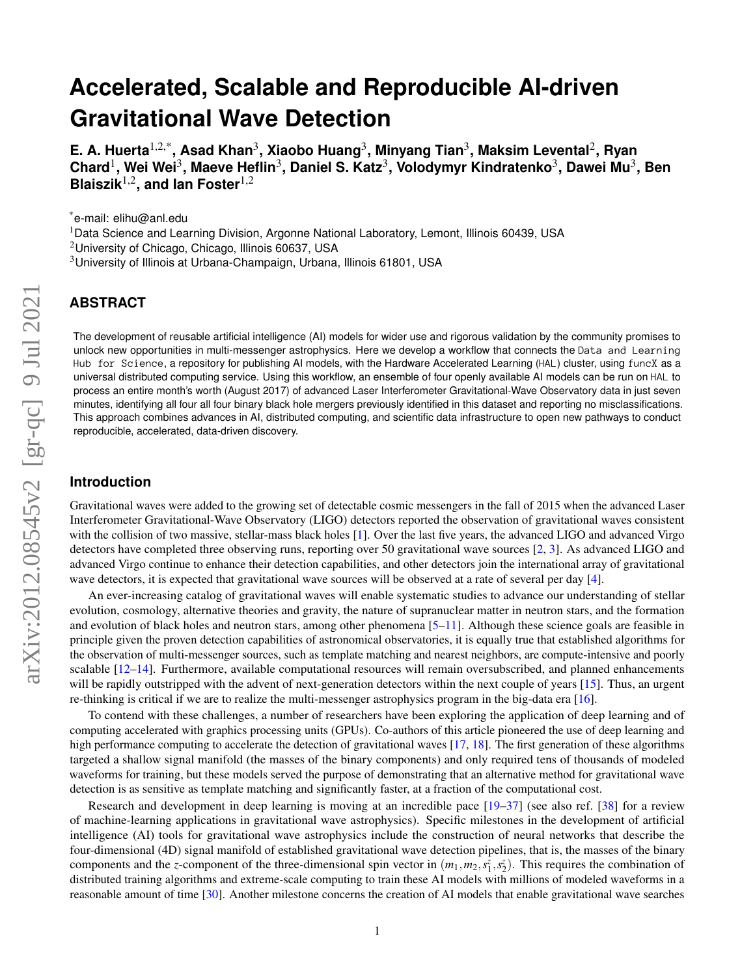# **Accelerated, Scalable and Reproducible AI-driven Gravitational Wave Detection**

**E. A. Huerta**1,2,\***, Asad Khan**<sup>3</sup> **, Xiaobo Huang**<sup>3</sup> **, Minyang Tian**<sup>3</sup> **, Maksim Levental**<sup>2</sup> **, Ryan**  $\mathsf{Chard}^1\mathsf{,}$  Wei Wei $^3\mathsf{,}$  Maeve Heflin $^3\mathsf{,}$  Daniel S. Katz $^3\mathsf{,}$  Volodymyr Kindratenko $^3\mathsf{,}$  Dawei Mu $^3\mathsf{,}$  Ben **Blaiszik**1,2**, and Ian Foster**1,2

\*e-mail: elihu@anl.edu

<sup>1</sup>Data Science and Learning Division, Argonne National Laboratory, Lemont, Illinois 60439, USA

<sup>2</sup>University of Chicago, Chicago, Illinois 60637, USA

<sup>3</sup>University of Illinois at Urbana-Champaign, Urbana, Illinois 61801, USA

## **ABSTRACT**

The development of reusable artificial intelligence (AI) models for wider use and rigorous validation by the community promises to unlock new opportunities in multi-messenger astrophysics. Here we develop a workflow that connects the Data and Learning Hub for Science, a repository for publishing AI models, with the Hardware Accelerated Learning (HAL) cluster, using funcX as a universal distributed computing service. Using this workflow, an ensemble of four openly available AI models can be run on HAL to process an entire month's worth (August 2017) of advanced Laser Interferometer Gravitational-Wave Observatory data in just seven minutes, identifying all four all four binary black hole mergers previously identified in this dataset and reporting no misclassifications. This approach combines advances in AI, distributed computing, and scientific data infrastructure to open new pathways to conduct reproducible, accelerated, data-driven discovery.

#### **Introduction**

Gravitational waves were added to the growing set of detectable cosmic messengers in the fall of 2015 when the advanced Laser Interferometer Gravitational-Wave Observatory (LIGO) detectors reported the observation of gravitational waves consistent with the collision of two massive, stellar-mass black holes [\[1\]](#page-8-0). Over the last five years, the advanced LIGO and advanced Virgo detectors have completed three observing runs, reporting over 50 gravitational wave sources [\[2,](#page-8-1) [3\]](#page-8-2). As advanced LIGO and advanced Virgo continue to enhance their detection capabilities, and other detectors join the international array of gravitational wave detectors, it is expected that gravitational wave sources will be observed at a rate of several per day [\[4\]](#page-8-3).

An ever-increasing catalog of gravitational waves will enable systematic studies to advance our understanding of stellar evolution, cosmology, alternative theories and gravity, the nature of supranuclear matter in neutron stars, and the formation and evolution of black holes and neutron stars, among other phenomena  $[5–11]$  $[5–11]$ . Although these science goals are feasible in principle given the proven detection capabilities of astronomical observatories, it is equally true that established algorithms for the observation of multi-messenger sources, such as template matching and nearest neighbors, are compute-intensive and poorly scalable  $[12-14]$  $[12-14]$ . Furthermore, available computational resources will remain oversubscribed, and planned enhancements will be rapidly outstripped with the advent of next-generation detectors within the next couple of years [\[15\]](#page-8-8). Thus, an urgent re-thinking is critical if we are to realize the multi-messenger astrophysics program in the big-data era [\[16\]](#page-8-9).

To contend with these challenges, a number of researchers have been exploring the application of deep learning and of computing accelerated with graphics processing units (GPUs). Co-authors of this article pioneered the use of deep learning and high performance computing to accelerate the detection of gravitational waves [\[17,](#page-8-10) [18\]](#page-8-11). The first generation of these algorithms targeted a shallow signal manifold (the masses of the binary components) and only required tens of thousands of modeled waveforms for training, but these models served the purpose of demonstrating that an alternative method for gravitational wave detection is as sensitive as template matching and significantly faster, at a fraction of the computational cost.

Research and development in deep learning is moving at an incredible pace [\[19–](#page-8-12)[37\]](#page-9-0) (see also ref. [\[38\]](#page-9-1) for a review of machine-learning applications in gravitational wave astrophysics). Specific milestones in the development of artificial intelligence (AI) tools for gravitational wave astrophysics include the construction of neural networks that describe the four-dimensional (4D) signal manifold of established gravitational wave detection pipelines, that is, the masses of the binary components and the *z*-component of the three-dimensional spin vector in  $(m_1, m_2, s_1^z, s_2^z)$ . This requires the combination of distributed training algorithms and extreme-scale computing to train these AI models with millions of modeled waveforms in a reasonable amount of time [\[30\]](#page-9-2). Another milestone concerns the creation of AI models that enable gravitational wave searches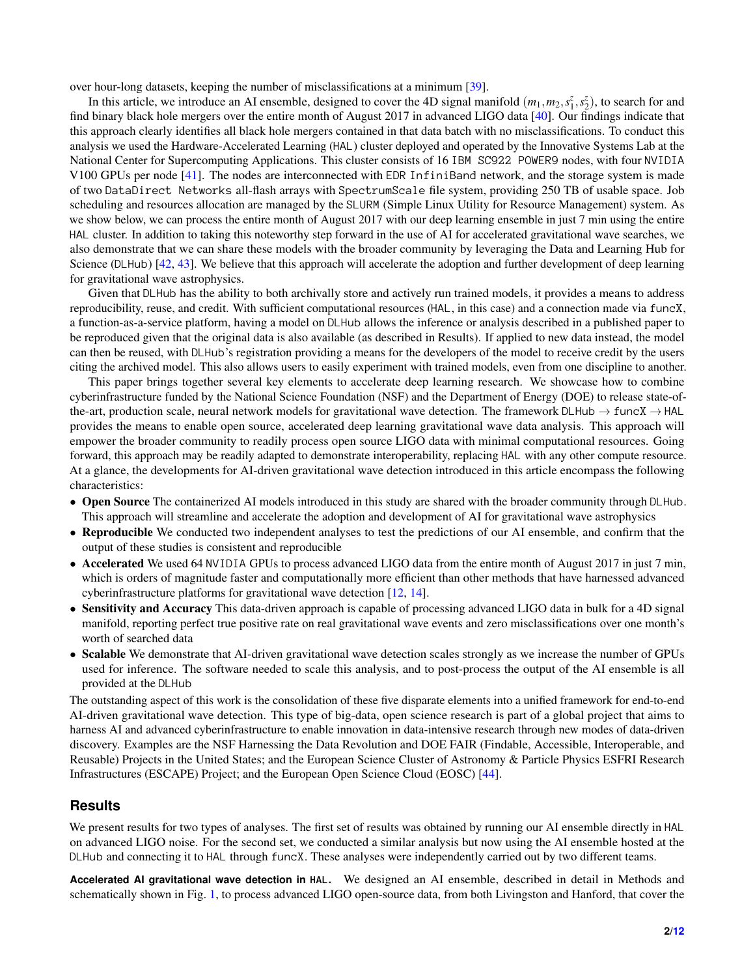over hour-long datasets, keeping the number of misclassifications at a minimum [\[39\]](#page-9-3).

In this article, we introduce an AI ensemble, designed to cover the 4D signal manifold  $(m_1, m_2, s_1^z, s_2^z)$ , to search for and find binary black hole mergers over the entire month of August 2017 in advanced LIGO data [\[40\]](#page-9-4). Our findings indicate that this approach clearly identifies all black hole mergers contained in that data batch with no misclassifications. To conduct this analysis we used the Hardware-Accelerated Learning (HAL) cluster deployed and operated by the Innovative Systems Lab at the National Center for Supercomputing Applications. This cluster consists of 16 IBM SC922 POWER9 nodes, with four NVIDIA V100 GPUs per node [\[41\]](#page-10-0). The nodes are interconnected with EDR InfiniBand network, and the storage system is made of two DataDirect Networks all-flash arrays with SpectrumScale file system, providing 250 TB of usable space. Job scheduling and resources allocation are managed by the SLURM (Simple Linux Utility for Resource Management) system. As we show below, we can process the entire month of August 2017 with our deep learning ensemble in just 7 min using the entire HAL cluster. In addition to taking this noteworthy step forward in the use of AI for accelerated gravitational wave searches, we also demonstrate that we can share these models with the broader community by leveraging the Data and Learning Hub for Science (DLHub) [\[42,](#page-10-1) [43\]](#page-10-2). We believe that this approach will accelerate the adoption and further development of deep learning for gravitational wave astrophysics.

Given that DLHub has the ability to both archivally store and actively run trained models, it provides a means to address reproducibility, reuse, and credit. With sufficient computational resources (HAL, in this case) and a connection made via funcX, a function-as-a-service platform, having a model on DLHub allows the inference or analysis described in a published paper to be reproduced given that the original data is also available (as described in Results). If applied to new data instead, the model can then be reused, with DLHub's registration providing a means for the developers of the model to receive credit by the users citing the archived model. This also allows users to easily experiment with trained models, even from one discipline to another.

This paper brings together several key elements to accelerate deep learning research. We showcase how to combine cyberinfrastructure funded by the National Science Foundation (NSF) and the Department of Energy (DOE) to release state-ofthe-art, production scale, neural network models for gravitational wave detection. The framework DLHub  $\rightarrow$  funcX  $\rightarrow$  HAL provides the means to enable open source, accelerated deep learning gravitational wave data analysis. This approach will empower the broader community to readily process open source LIGO data with minimal computational resources. Going forward, this approach may be readily adapted to demonstrate interoperability, replacing HAL with any other compute resource. At a glance, the developments for AI-driven gravitational wave detection introduced in this article encompass the following characteristics:

- Open Source The containerized AI models introduced in this study are shared with the broader community through DLHub. This approach will streamline and accelerate the adoption and development of AI for gravitational wave astrophysics
- Reproducible We conducted two independent analyses to test the predictions of our AI ensemble, and confirm that the output of these studies is consistent and reproducible
- Accelerated We used 64 NVIDIA GPUs to process advanced LIGO data from the entire month of August 2017 in just 7 min, which is orders of magnitude faster and computationally more efficient than other methods that have harnessed advanced cyberinfrastructure platforms for gravitational wave detection [\[12,](#page-8-6) [14\]](#page-8-7).
- Sensitivity and Accuracy This data-driven approach is capable of processing advanced LIGO data in bulk for a 4D signal manifold, reporting perfect true positive rate on real gravitational wave events and zero misclassifications over one month's worth of searched data
- Scalable We demonstrate that AI-driven gravitational wave detection scales strongly as we increase the number of GPUs used for inference. The software needed to scale this analysis, and to post-process the output of the AI ensemble is all provided at the DLHub

The outstanding aspect of this work is the consolidation of these five disparate elements into a unified framework for end-to-end AI-driven gravitational wave detection. This type of big-data, open science research is part of a global project that aims to harness AI and advanced cyberinfrastructure to enable innovation in data-intensive research through new modes of data-driven discovery. Examples are the NSF Harnessing the Data Revolution and DOE FAIR (Findable, Accessible, Interoperable, and Reusable) Projects in the United States; and the European Science Cluster of Astronomy & Particle Physics ESFRI Research Infrastructures (ESCAPE) Project; and the European Open Science Cloud (EOSC) [\[44\]](#page-10-3).

#### **Results**

We present results for two types of analyses. The first set of results was obtained by running our AI ensemble directly in HAL on advanced LIGO noise. For the second set, we conducted a similar analysis but now using the AI ensemble hosted at the DLHub and connecting it to HAL through funcX. These analyses were independently carried out by two different teams.

**Accelerated AI gravitational wave detection in HAL.** We designed an AI ensemble, described in detail in Methods and schematically shown in Fig. [1,](#page-2-0) to process advanced LIGO open-source data, from both Livingston and Hanford, that cover the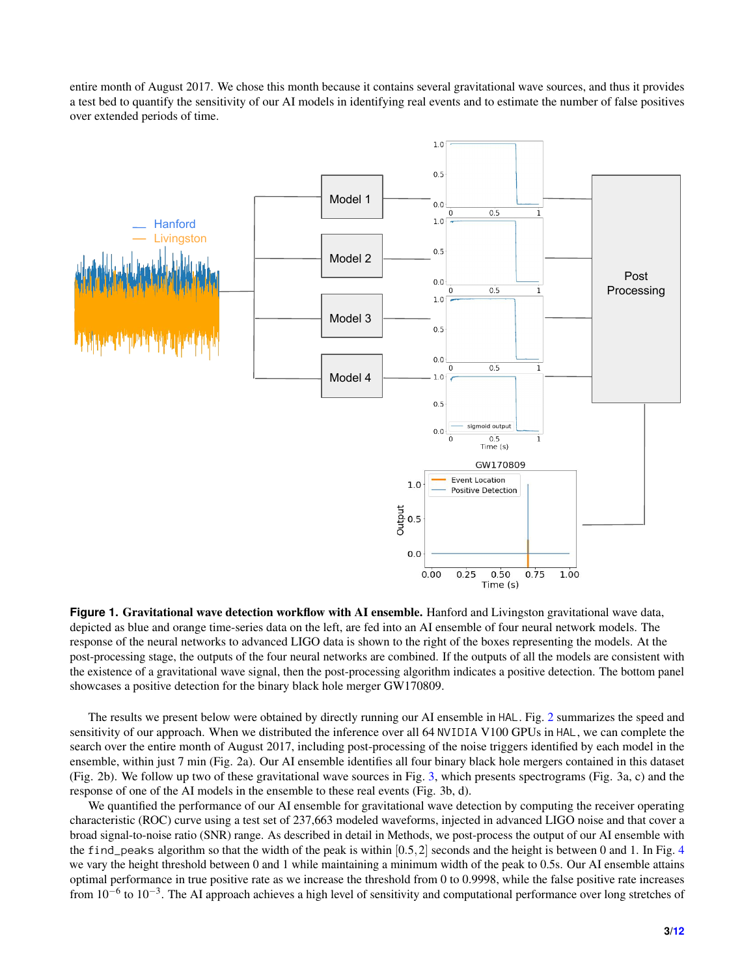entire month of August 2017. We chose this month because it contains several gravitational wave sources, and thus it provides a test bed to quantify the sensitivity of our AI models in identifying real events and to estimate the number of false positives over extended periods of time.

<span id="page-2-0"></span>

**Figure 1. Gravitational wave detection workflow with AI ensemble.** Hanford and Livingston gravitational wave data, depicted as blue and orange time-series data on the left, are fed into an AI ensemble of four neural network models. The response of the neural networks to advanced LIGO data is shown to the right of the boxes representing the models. At the post-processing stage, the outputs of the four neural networks are combined. If the outputs of all the models are consistent with the existence of a gravitational wave signal, then the post-processing algorithm indicates a positive detection. The bottom panel showcases a positive detection for the binary black hole merger GW170809.

The results we present below were obtained by directly running our AI ensemble in HAL. Fig. [2](#page-3-0) summarizes the speed and sensitivity of our approach. When we distributed the inference over all 64 NVIDIA V100 GPUs in HAL, we can complete the search over the entire month of August 2017, including post-processing of the noise triggers identified by each model in the ensemble, within just 7 min (Fig. 2a). Our AI ensemble identifies all four binary black hole mergers contained in this dataset (Fig. 2b). We follow up two of these gravitational wave sources in Fig. [3,](#page-4-0) which presents spectrograms (Fig. 3a, c) and the response of one of the AI models in the ensemble to these real events (Fig. 3b, d).

We quantified the performance of our AI ensemble for gravitational wave detection by computing the receiver operating characteristic (ROC) curve using a test set of 237,663 modeled waveforms, injected in advanced LIGO noise and that cover a broad signal-to-noise ratio (SNR) range. As described in detail in Methods, we post-process the output of our AI ensemble with the find peaks algorithm so that the width of the peak is within  $[0.5,2]$  seconds and the height is between 0 and 1. In Fig. [4](#page-5-0) we vary the height threshold between 0 and 1 while maintaining a minimum width of the peak to 0.5s. Our AI ensemble attains optimal performance in true positive rate as we increase the threshold from 0 to 0.9998, while the false positive rate increases from  $10^{-6}$  to  $10^{-3}$ . The AI approach achieves a high level of sensitivity and computational performance over long stretches of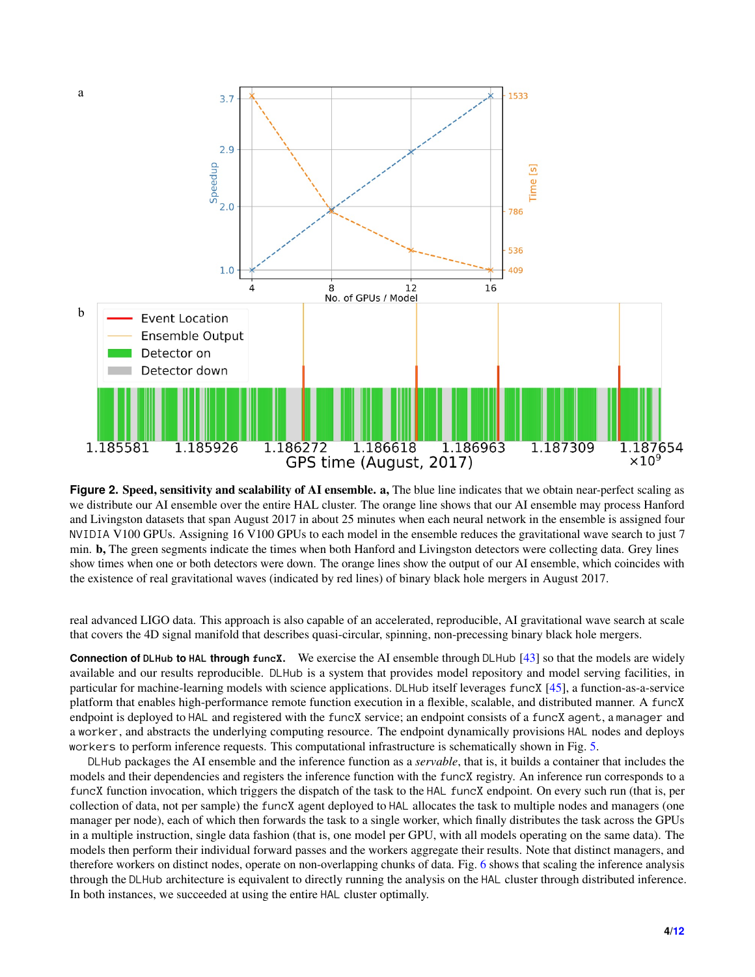<span id="page-3-0"></span>

**Figure 2. Speed, sensitivity and scalability of AI ensemble. a, The blue line indicates that we obtain near-perfect scaling as** we distribute our AI ensemble over the entire HAL cluster. The orange line shows that our AI ensemble may process Hanford and Livingston datasets that span August 2017 in about 25 minutes when each neural network in the ensemble is assigned four NVIDIA V100 GPUs. Assigning 16 V100 GPUs to each model in the ensemble reduces the gravitational wave search to just 7 min. b, The green segments indicate the times when both Hanford and Livingston detectors were collecting data. Grey lines show times when one or both detectors were down. The orange lines show the output of our AI ensemble, which coincides with the existence of real gravitational waves (indicated by red lines) of binary black hole mergers in August 2017.

real advanced LIGO data. This approach is also capable of an accelerated, reproducible, AI gravitational wave search at scale that covers the 4D signal manifold that describes quasi-circular, spinning, non-precessing binary black hole mergers.

**Connection of DLHub to HAL through funcX.** We exercise the AI ensemble through DLHub [\[43\]](#page-10-2) so that the models are widely available and our results reproducible. DLHub is a system that provides model repository and model serving facilities, in particular for machine-learning models with science applications. DLHub itself leverages funcX [\[45\]](#page-10-4), a function-as-a-service platform that enables high-performance remote function execution in a flexible, scalable, and distributed manner. A funcX endpoint is deployed to HAL and registered with the funcX service; an endpoint consists of a funcX agent, a manager and a worker, and abstracts the underlying computing resource. The endpoint dynamically provisions HAL nodes and deploys workers to perform inference requests. This computational infrastructure is schematically shown in Fig. [5.](#page-6-0)

DLHub packages the AI ensemble and the inference function as a *servable*, that is, it builds a container that includes the models and their dependencies and registers the inference function with the funcX registry. An inference run corresponds to a funcX function invocation, which triggers the dispatch of the task to the HAL funcX endpoint. On every such run (that is, per collection of data, not per sample) the funcX agent deployed to HAL allocates the task to multiple nodes and managers (one manager per node), each of which then forwards the task to a single worker, which finally distributes the task across the GPUs in a multiple instruction, single data fashion (that is, one model per GPU, with all models operating on the same data). The models then perform their individual forward passes and the workers aggregate their results. Note that distinct managers, and therefore workers on distinct nodes, operate on non-overlapping chunks of data. Fig. [6](#page-6-1) shows that scaling the inference analysis through the DLHub architecture is equivalent to directly running the analysis on the HAL cluster through distributed inference. In both instances, we succeeded at using the entire HAL cluster optimally.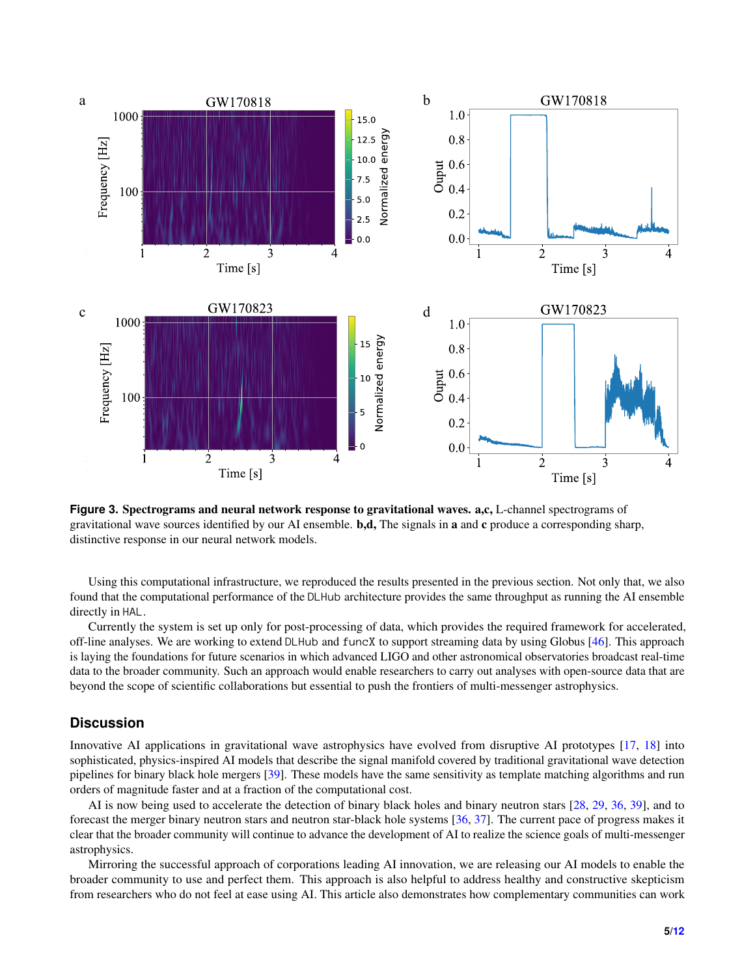<span id="page-4-0"></span>

**Figure 3. Spectrograms and neural network response to gravitational waves. a,c, L-channel spectrograms of** gravitational wave sources identified by our AI ensemble. **b,d,** The signals in **a** and **c** produce a corresponding sharp, distinctive response in our neural network models.

Using this computational infrastructure, we reproduced the results presented in the previous section. Not only that, we also found that the computational performance of the DLHub architecture provides the same throughput as running the AI ensemble directly in HAL.

Currently the system is set up only for post-processing of data, which provides the required framework for accelerated, off-line analyses. We are working to extend DLHub and funcX to support streaming data by using Globus [\[46\]](#page-10-5). This approach is laying the foundations for future scenarios in which advanced LIGO and other astronomical observatories broadcast real-time data to the broader community. Such an approach would enable researchers to carry out analyses with open-source data that are beyond the scope of scientific collaborations but essential to push the frontiers of multi-messenger astrophysics.

#### **Discussion**

Innovative AI applications in gravitational wave astrophysics have evolved from disruptive AI prototypes [\[17,](#page-8-10) [18\]](#page-8-11) into sophisticated, physics-inspired AI models that describe the signal manifold covered by traditional gravitational wave detection pipelines for binary black hole mergers [\[39\]](#page-9-3). These models have the same sensitivity as template matching algorithms and run orders of magnitude faster and at a fraction of the computational cost.

AI is now being used to accelerate the detection of binary black holes and binary neutron stars [\[28,](#page-9-5) [29,](#page-9-6) [36,](#page-9-7) [39\]](#page-9-3), and to forecast the merger binary neutron stars and neutron star-black hole systems [\[36,](#page-9-7) [37\]](#page-9-0). The current pace of progress makes it clear that the broader community will continue to advance the development of AI to realize the science goals of multi-messenger astrophysics.

Mirroring the successful approach of corporations leading AI innovation, we are releasing our AI models to enable the broader community to use and perfect them. This approach is also helpful to address healthy and constructive skepticism from researchers who do not feel at ease using AI. This article also demonstrates how complementary communities can work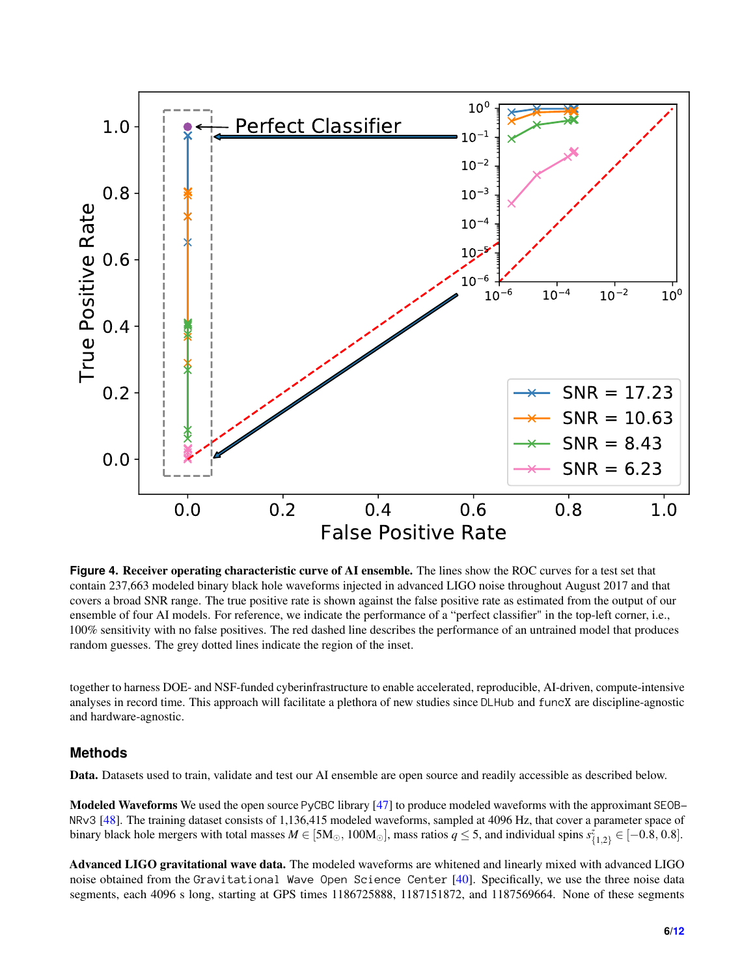<span id="page-5-0"></span>

**Figure 4. Receiver operating characteristic curve of AI ensemble.** The lines show the ROC curves for a test set that contain 237,663 modeled binary black hole waveforms injected in advanced LIGO noise throughout August 2017 and that covers a broad SNR range. The true positive rate is shown against the false positive rate as estimated from the output of our ensemble of four AI models. For reference, we indicate the performance of a "perfect classifier" in the top-left corner, i.e., 100% sensitivity with no false positives. The red dashed line describes the performance of an untrained model that produces random guesses. The grey dotted lines indicate the region of the inset.

together to harness DOE- and NSF-funded cyberinfrastructure to enable accelerated, reproducible, AI-driven, compute-intensive analyses in record time. This approach will facilitate a plethora of new studies since DLHub and funcX are discipline-agnostic and hardware-agnostic.

## **Methods**

Data. Datasets used to train, validate and test our AI ensemble are open source and readily accessible as described below.

Modeled Waveforms We used the open source PyCBC library [\[47\]](#page-10-6) to produce modeled waveforms with the approximant SEOB-NRv3 [\[48\]](#page-10-7). The training dataset consists of 1,136,415 modeled waveforms, sampled at 4096 Hz, that cover a parameter space of binary black hole mergers with total masses  $M \in [5M_{\odot}, 100M_{\odot}]$ , mass ratios  $q \leq 5$ , and individual spins  $s^z_{\{1,2\}} \in [-0.8, 0.8]$ .

Advanced LIGO gravitational wave data. The modeled waveforms are whitened and linearly mixed with advanced LIGO noise obtained from the Gravitational Wave Open Science Center [\[40\]](#page-9-4). Specifically, we use the three noise data segments, each 4096 s long, starting at GPS times 1186725888, 1187151872, and 1187569664. None of these segments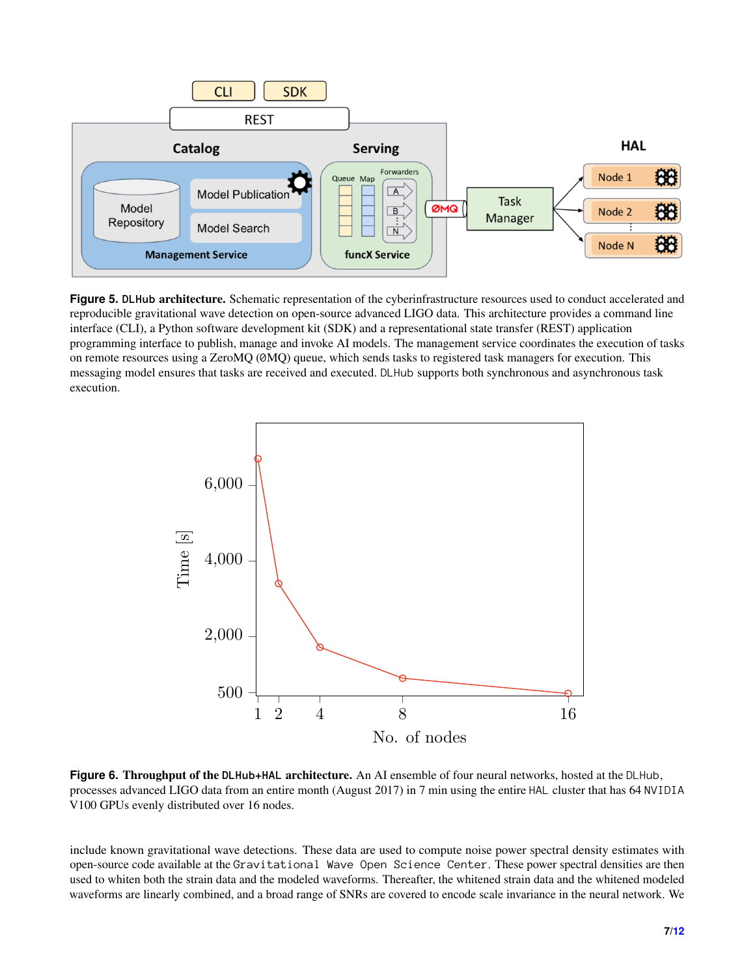<span id="page-6-0"></span>

**Figure 5. DLHub** architecture. Schematic representation of the cyberinfrastructure resources used to conduct accelerated and reproducible gravitational wave detection on open-source advanced LIGO data. This architecture provides a command line interface (CLI), a Python software development kit (SDK) and a representational state transfer (REST) application programming interface to publish, manage and invoke AI models. The management service coordinates the execution of tasks on remote resources using a ZeroMQ (0MQ) queue, which sends tasks to registered task managers for execution. This messaging model ensures that tasks are received and executed. DLHub supports both synchronous and asynchronous task execution.

<span id="page-6-1"></span>

**Figure 6.** Throughput of the **DLHub+HAL** architecture. An AI ensemble of four neural networks, hosted at the DLHub, processes advanced LIGO data from an entire month (August 2017) in 7 min using the entire HAL cluster that has 64 NVIDIA V100 GPUs evenly distributed over 16 nodes.

include known gravitational wave detections. These data are used to compute noise power spectral density estimates with open-source code available at the Gravitational Wave Open Science Center. These power spectral densities are then used to whiten both the strain data and the modeled waveforms. Thereafter, the whitened strain data and the whitened modeled waveforms are linearly combined, and a broad range of SNRs are covered to encode scale invariance in the neural network. We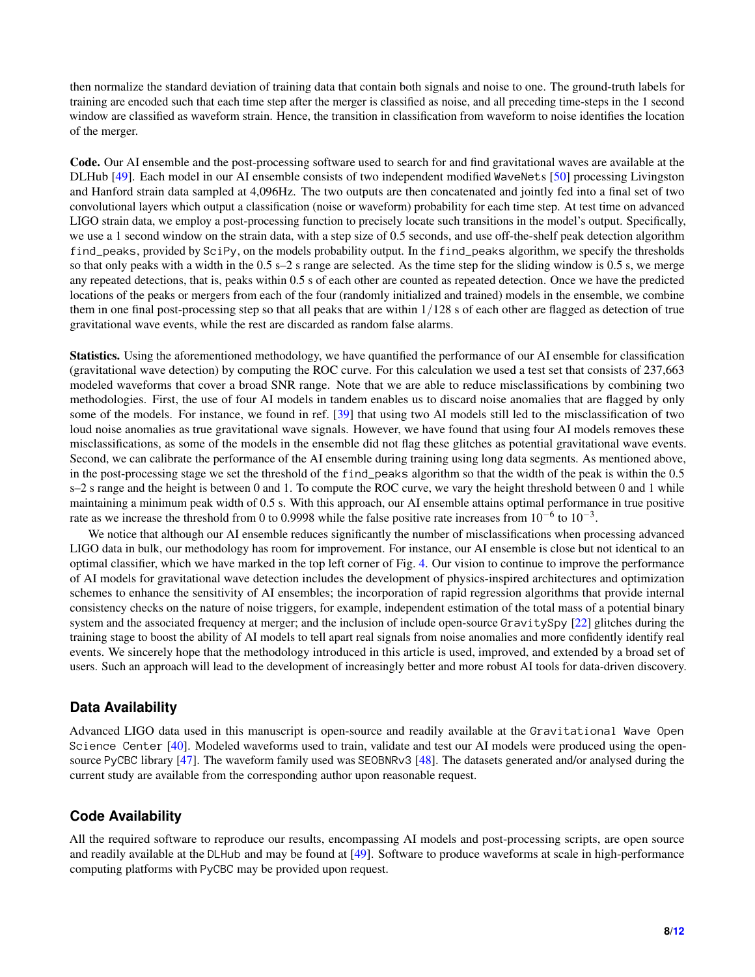then normalize the standard deviation of training data that contain both signals and noise to one. The ground-truth labels for training are encoded such that each time step after the merger is classified as noise, and all preceding time-steps in the 1 second window are classified as waveform strain. Hence, the transition in classification from waveform to noise identifies the location of the merger.

Code. Our AI ensemble and the post-processing software used to search for and find gravitational waves are available at the DLHub [\[49\]](#page-10-8). Each model in our AI ensemble consists of two independent modified WaveNets [\[50\]](#page-10-9) processing Livingston and Hanford strain data sampled at 4,096Hz. The two outputs are then concatenated and jointly fed into a final set of two convolutional layers which output a classification (noise or waveform) probability for each time step. At test time on advanced LIGO strain data, we employ a post-processing function to precisely locate such transitions in the model's output. Specifically, we use a 1 second window on the strain data, with a step size of 0.5 seconds, and use off-the-shelf peak detection algorithm find\_peaks, provided by SciPy, on the models probability output. In the find\_peaks algorithm, we specify the thresholds so that only peaks with a width in the 0.5 s–2 s range are selected. As the time step for the sliding window is 0.5 s, we merge any repeated detections, that is, peaks within 0.5 s of each other are counted as repeated detection. Once we have the predicted locations of the peaks or mergers from each of the four (randomly initialized and trained) models in the ensemble, we combine them in one final post-processing step so that all peaks that are within 1/128 s of each other are flagged as detection of true gravitational wave events, while the rest are discarded as random false alarms.

Statistics. Using the aforementioned methodology, we have quantified the performance of our AI ensemble for classification (gravitational wave detection) by computing the ROC curve. For this calculation we used a test set that consists of 237,663 modeled waveforms that cover a broad SNR range. Note that we are able to reduce misclassifications by combining two methodologies. First, the use of four AI models in tandem enables us to discard noise anomalies that are flagged by only some of the models. For instance, we found in ref. [\[39\]](#page-9-3) that using two AI models still led to the misclassification of two loud noise anomalies as true gravitational wave signals. However, we have found that using four AI models removes these misclassifications, as some of the models in the ensemble did not flag these glitches as potential gravitational wave events. Second, we can calibrate the performance of the AI ensemble during training using long data segments. As mentioned above, in the post-processing stage we set the threshold of the find\_peaks algorithm so that the width of the peak is within the 0.5 s–2 s range and the height is between 0 and 1. To compute the ROC curve, we vary the height threshold between 0 and 1 while maintaining a minimum peak width of 0.5 s. With this approach, our AI ensemble attains optimal performance in true positive rate as we increase the threshold from 0 to 0.9998 while the false positive rate increases from  $10^{-6}$  to  $10^{-3}$ .

We notice that although our AI ensemble reduces significantly the number of misclassifications when processing advanced LIGO data in bulk, our methodology has room for improvement. For instance, our AI ensemble is close but not identical to an optimal classifier, which we have marked in the top left corner of Fig. [4.](#page-5-0) Our vision to continue to improve the performance of AI models for gravitational wave detection includes the development of physics-inspired architectures and optimization schemes to enhance the sensitivity of AI ensembles; the incorporation of rapid regression algorithms that provide internal consistency checks on the nature of noise triggers, for example, independent estimation of the total mass of a potential binary system and the associated frequency at merger; and the inclusion of include open-source GravitySpy [\[22\]](#page-9-8) glitches during the training stage to boost the ability of AI models to tell apart real signals from noise anomalies and more confidently identify real events. We sincerely hope that the methodology introduced in this article is used, improved, and extended by a broad set of users. Such an approach will lead to the development of increasingly better and more robust AI tools for data-driven discovery.

#### **Data Availability**

Advanced LIGO data used in this manuscript is open-source and readily available at the Gravitational Wave Open Science Center [\[40\]](#page-9-4). Modeled waveforms used to train, validate and test our AI models were produced using the open-source PyCBC library [\[47\]](#page-10-6). The waveform family used was SEOBNRv3 [\[48\]](#page-10-7). The datasets generated and/or analysed during the current study are available from the corresponding author upon reasonable request.

## **Code Availability**

All the required software to reproduce our results, encompassing AI models and post-processing scripts, are open source and readily available at the DLHub and may be found at [\[49\]](#page-10-8). Software to produce waveforms at scale in high-performance computing platforms with PyCBC may be provided upon request.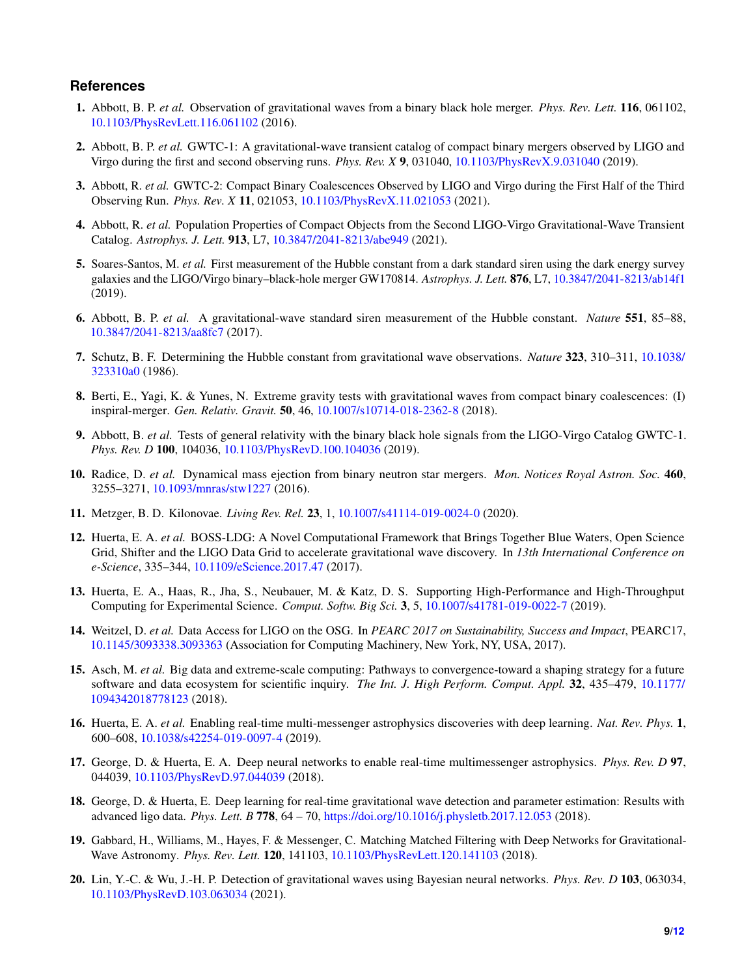#### **References**

- <span id="page-8-0"></span>1. Abbott, B. P. *et al.* Observation of gravitational waves from a binary black hole merger. *Phys. Rev. Lett.* 116, 061102, <10.1103/PhysRevLett.116.061102> (2016).
- <span id="page-8-1"></span>2. Abbott, B. P. *et al.* GWTC-1: A gravitational-wave transient catalog of compact binary mergers observed by LIGO and Virgo during the first and second observing runs. *Phys. Rev. X* 9, 031040, <10.1103/PhysRevX.9.031040> (2019).
- <span id="page-8-2"></span>3. Abbott, R. *et al.* GWTC-2: Compact Binary Coalescences Observed by LIGO and Virgo during the First Half of the Third Observing Run. *Phys. Rev. X* 11, 021053, <10.1103/PhysRevX.11.021053> (2021).
- <span id="page-8-3"></span>4. Abbott, R. *et al.* Population Properties of Compact Objects from the Second LIGO-Virgo Gravitational-Wave Transient Catalog. *Astrophys. J. Lett.* 913, L7, <10.3847/2041-8213/abe949> (2021).
- <span id="page-8-4"></span>5. Soares-Santos, M. *et al.* First measurement of the Hubble constant from a dark standard siren using the dark energy survey galaxies and the LIGO/Virgo binary–black-hole merger GW170814. *Astrophys. J. Lett.* 876, L7, <10.3847/2041-8213/ab14f1> (2019).
- 6. Abbott, B. P. *et al.* A gravitational-wave standard siren measurement of the Hubble constant. *Nature* 551, 85–88, <10.3847/2041-8213/aa8fc7> (2017).
- 7. Schutz, B. F. Determining the Hubble constant from gravitational wave observations. *Nature* 323, 310–311, [10.1038/](10.1038/323310a0) [323310a0](10.1038/323310a0) (1986).
- 8. Berti, E., Yagi, K. & Yunes, N. Extreme gravity tests with gravitational waves from compact binary coalescences: (I) inspiral-merger. *Gen. Relativ. Gravit.* 50, 46, <10.1007/s10714-018-2362-8> (2018).
- 9. Abbott, B. *et al.* Tests of general relativity with the binary black hole signals from the LIGO-Virgo Catalog GWTC-1. *Phys. Rev. D* 100, 104036, <10.1103/PhysRevD.100.104036> (2019).
- 10. Radice, D. *et al.* Dynamical mass ejection from binary neutron star mergers. *Mon. Notices Royal Astron. Soc.* 460, 3255–3271, <10.1093/mnras/stw1227> (2016).
- <span id="page-8-5"></span>11. Metzger, B. D. Kilonovae. *Living Rev. Rel.* 23, 1, <10.1007/s41114-019-0024-0> (2020).
- <span id="page-8-6"></span>12. Huerta, E. A. *et al.* BOSS-LDG: A Novel Computational Framework that Brings Together Blue Waters, Open Science Grid, Shifter and the LIGO Data Grid to accelerate gravitational wave discovery. In *13th International Conference on e-Science*, 335–344, <10.1109/eScience.2017.47> (2017).
- 13. Huerta, E. A., Haas, R., Jha, S., Neubauer, M. & Katz, D. S. Supporting High-Performance and High-Throughput Computing for Experimental Science. *Comput. Softw. Big Sci.* 3, 5, <10.1007/s41781-019-0022-7> (2019).
- <span id="page-8-7"></span>14. Weitzel, D. *et al.* Data Access for LIGO on the OSG. In *PEARC 2017 on Sustainability, Success and Impact*, PEARC17, <10.1145/3093338.3093363> (Association for Computing Machinery, New York, NY, USA, 2017).
- <span id="page-8-8"></span>15. Asch, M. *et al.* Big data and extreme-scale computing: Pathways to convergence-toward a shaping strategy for a future software and data ecosystem for scientific inquiry. *The Int. J. High Perform. Comput. Appl.* 32, 435–479, [10.1177/](10.1177/1094342018778123) [1094342018778123](10.1177/1094342018778123) (2018).
- <span id="page-8-9"></span>16. Huerta, E. A. *et al.* Enabling real-time multi-messenger astrophysics discoveries with deep learning. *Nat. Rev. Phys.* 1, 600–608, <10.1038/s42254-019-0097-4> (2019).
- <span id="page-8-10"></span>17. George, D. & Huerta, E. A. Deep neural networks to enable real-time multimessenger astrophysics. *Phys. Rev. D* 97, 044039, <10.1103/PhysRevD.97.044039> (2018).
- <span id="page-8-11"></span>18. George, D. & Huerta, E. Deep learning for real-time gravitational wave detection and parameter estimation: Results with advanced ligo data. *Phys. Lett. B* 778, 64 – 70, <https://doi.org/10.1016/j.physletb.2017.12.053> (2018).
- <span id="page-8-12"></span>19. Gabbard, H., Williams, M., Hayes, F. & Messenger, C. Matching Matched Filtering with Deep Networks for Gravitational-Wave Astronomy. *Phys. Rev. Lett.* 120, 141103, <10.1103/PhysRevLett.120.141103> (2018).
- 20. Lin, Y.-C. & Wu, J.-H. P. Detection of gravitational waves using Bayesian neural networks. *Phys. Rev. D* 103, 063034, <10.1103/PhysRevD.103.063034> (2021).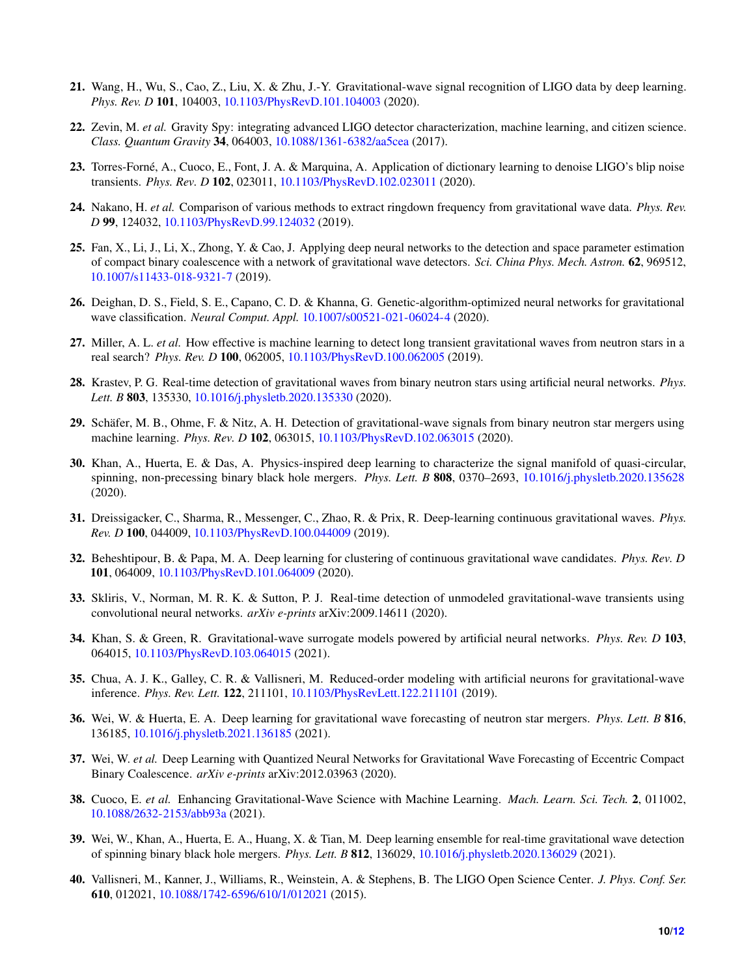- 21. Wang, H., Wu, S., Cao, Z., Liu, X. & Zhu, J.-Y. Gravitational-wave signal recognition of LIGO data by deep learning. *Phys. Rev. D* 101, 104003, <10.1103/PhysRevD.101.104003> (2020).
- <span id="page-9-8"></span>22. Zevin, M. *et al.* Gravity Spy: integrating advanced LIGO detector characterization, machine learning, and citizen science. *Class. Quantum Gravity* 34, 064003, <10.1088/1361-6382/aa5cea> (2017).
- 23. Torres-Forné, A., Cuoco, E., Font, J. A. & Marquina, A. Application of dictionary learning to denoise LIGO's blip noise transients. *Phys. Rev. D* 102, 023011, <10.1103/PhysRevD.102.023011> (2020).
- 24. Nakano, H. *et al.* Comparison of various methods to extract ringdown frequency from gravitational wave data. *Phys. Rev. D* 99, 124032, <10.1103/PhysRevD.99.124032> (2019).
- 25. Fan, X., Li, J., Li, X., Zhong, Y. & Cao, J. Applying deep neural networks to the detection and space parameter estimation of compact binary coalescence with a network of gravitational wave detectors. *Sci. China Phys. Mech. Astron.* 62, 969512, <10.1007/s11433-018-9321-7> (2019).
- 26. Deighan, D. S., Field, S. E., Capano, C. D. & Khanna, G. Genetic-algorithm-optimized neural networks for gravitational wave classification. *Neural Comput. Appl.* <10.1007/s00521-021-06024-4> (2020).
- 27. Miller, A. L. *et al.* How effective is machine learning to detect long transient gravitational waves from neutron stars in a real search? *Phys. Rev. D* 100, 062005, <10.1103/PhysRevD.100.062005> (2019).
- <span id="page-9-5"></span>28. Krastev, P. G. Real-time detection of gravitational waves from binary neutron stars using artificial neural networks. *Phys. Lett. B* 803, 135330, <10.1016/j.physletb.2020.135330> (2020).
- <span id="page-9-6"></span>29. Schäfer, M. B., Ohme, F. & Nitz, A. H. Detection of gravitational-wave signals from binary neutron star mergers using machine learning. *Phys. Rev. D* 102, 063015, <10.1103/PhysRevD.102.063015> (2020).
- <span id="page-9-2"></span>30. Khan, A., Huerta, E. & Das, A. Physics-inspired deep learning to characterize the signal manifold of quasi-circular, spinning, non-precessing binary black hole mergers. *Phys. Lett. B* 808, 0370–2693, <10.1016/j.physletb.2020.135628> (2020).
- 31. Dreissigacker, C., Sharma, R., Messenger, C., Zhao, R. & Prix, R. Deep-learning continuous gravitational waves. *Phys. Rev. D* 100, 044009, <10.1103/PhysRevD.100.044009> (2019).
- 32. Beheshtipour, B. & Papa, M. A. Deep learning for clustering of continuous gravitational wave candidates. *Phys. Rev. D* 101, 064009, <10.1103/PhysRevD.101.064009> (2020).
- 33. Skliris, V., Norman, M. R. K. & Sutton, P. J. Real-time detection of unmodeled gravitational-wave transients using convolutional neural networks. *arXiv e-prints* arXiv:2009.14611 (2020).
- 34. Khan, S. & Green, R. Gravitational-wave surrogate models powered by artificial neural networks. *Phys. Rev. D* 103, 064015, <10.1103/PhysRevD.103.064015> (2021).
- 35. Chua, A. J. K., Galley, C. R. & Vallisneri, M. Reduced-order modeling with artificial neurons for gravitational-wave inference. *Phys. Rev. Lett.* 122, 211101, <10.1103/PhysRevLett.122.211101> (2019).
- <span id="page-9-7"></span>36. Wei, W. & Huerta, E. A. Deep learning for gravitational wave forecasting of neutron star mergers. *Phys. Lett. B* 816, 136185, <10.1016/j.physletb.2021.136185> (2021).
- <span id="page-9-0"></span>37. Wei, W. *et al.* Deep Learning with Quantized Neural Networks for Gravitational Wave Forecasting of Eccentric Compact Binary Coalescence. *arXiv e-prints* arXiv:2012.03963 (2020).
- <span id="page-9-1"></span>38. Cuoco, E. *et al.* Enhancing Gravitational-Wave Science with Machine Learning. *Mach. Learn. Sci. Tech.* 2, 011002, <10.1088/2632-2153/abb93a> (2021).
- <span id="page-9-3"></span>39. Wei, W., Khan, A., Huerta, E. A., Huang, X. & Tian, M. Deep learning ensemble for real-time gravitational wave detection of spinning binary black hole mergers. *Phys. Lett. B* 812, 136029, <10.1016/j.physletb.2020.136029> (2021).
- <span id="page-9-4"></span>40. Vallisneri, M., Kanner, J., Williams, R., Weinstein, A. & Stephens, B. The LIGO Open Science Center. *J. Phys. Conf. Ser.* 610, 012021, <10.1088/1742-6596/610/1/012021> (2015).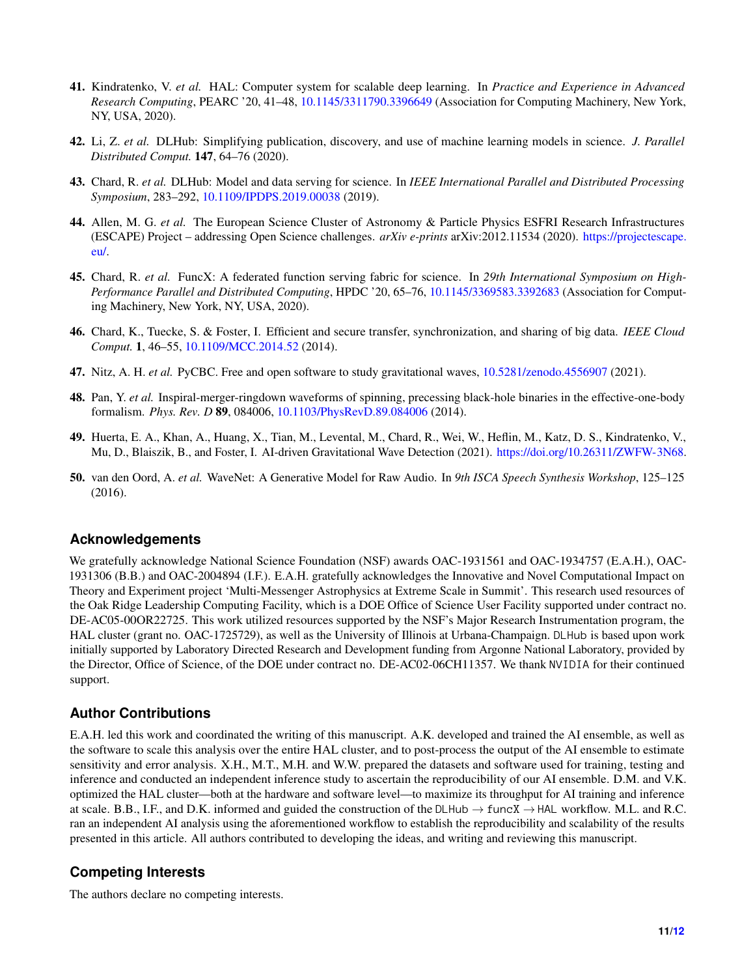- <span id="page-10-0"></span>41. Kindratenko, V. *et al.* HAL: Computer system for scalable deep learning. In *Practice and Experience in Advanced Research Computing*, PEARC '20, 41–48, <10.1145/3311790.3396649> (Association for Computing Machinery, New York, NY, USA, 2020).
- <span id="page-10-1"></span>42. Li, Z. *et al.* DLHub: Simplifying publication, discovery, and use of machine learning models in science. *J. Parallel Distributed Comput.* 147, 64–76 (2020).
- <span id="page-10-2"></span>43. Chard, R. *et al.* DLHub: Model and data serving for science. In *IEEE International Parallel and Distributed Processing Symposium*, 283–292, <10.1109/IPDPS.2019.00038> (2019).
- <span id="page-10-3"></span>44. Allen, M. G. et al. The European Science Cluster of Astronomy & Particle Physics ESFRI Research Infrastructures (ESCAPE) Project – addressing Open Science challenges. *arXiv e-prints* arXiv:2012.11534 (2020). [https://projectescape.]( https://projectescape.eu/) [eu/.]( https://projectescape.eu/)
- <span id="page-10-4"></span>45. Chard, R. *et al.* FuncX: A federated function serving fabric for science. In *29th International Symposium on High-Performance Parallel and Distributed Computing*, HPDC '20, 65–76, <10.1145/3369583.3392683> (Association for Computing Machinery, New York, NY, USA, 2020).
- <span id="page-10-5"></span>46. Chard, K., Tuecke, S. & Foster, I. Efficient and secure transfer, synchronization, and sharing of big data. *IEEE Cloud Comput.* 1, 46–55, <10.1109/MCC.2014.52> (2014).
- <span id="page-10-6"></span>47. Nitz, A. H. *et al.* PyCBC. Free and open software to study gravitational waves, <10.5281/zenodo.4556907> (2021).
- <span id="page-10-7"></span>48. Pan, Y. *et al.* Inspiral-merger-ringdown waveforms of spinning, precessing black-hole binaries in the effective-one-body formalism. *Phys. Rev. D* 89, 084006, <10.1103/PhysRevD.89.084006> (2014).
- <span id="page-10-8"></span>49. Huerta, E. A., Khan, A., Huang, X., Tian, M., Levental, M., Chard, R., Wei, W., Heflin, M., Katz, D. S., Kindratenko, V., Mu, D., Blaiszik, B., and Foster, I. AI-driven Gravitational Wave Detection (2021). [https://doi.org/10.26311/ZWFW-3N68.](https://doi.org/10.26311/ZWFW-3N68)
- <span id="page-10-9"></span>50. van den Oord, A. *et al.* WaveNet: A Generative Model for Raw Audio. In *9th ISCA Speech Synthesis Workshop*, 125–125 (2016).

## **Acknowledgements**

We gratefully acknowledge National Science Foundation (NSF) awards OAC-1931561 and OAC-1934757 (E.A.H.), OAC-1931306 (B.B.) and OAC-2004894 (I.F.). E.A.H. gratefully acknowledges the Innovative and Novel Computational Impact on Theory and Experiment project 'Multi-Messenger Astrophysics at Extreme Scale in Summit'. This research used resources of the Oak Ridge Leadership Computing Facility, which is a DOE Office of Science User Facility supported under contract no. DE-AC05-00OR22725. This work utilized resources supported by the NSF's Major Research Instrumentation program, the HAL cluster (grant no. OAC-1725729), as well as the University of Illinois at Urbana-Champaign. DLHub is based upon work initially supported by Laboratory Directed Research and Development funding from Argonne National Laboratory, provided by the Director, Office of Science, of the DOE under contract no. DE-AC02-06CH11357. We thank NVIDIA for their continued support.

## **Author Contributions**

E.A.H. led this work and coordinated the writing of this manuscript. A.K. developed and trained the AI ensemble, as well as the software to scale this analysis over the entire HAL cluster, and to post-process the output of the AI ensemble to estimate sensitivity and error analysis. X.H., M.T., M.H. and W.W. prepared the datasets and software used for training, testing and inference and conducted an independent inference study to ascertain the reproducibility of our AI ensemble. D.M. and V.K. optimized the HAL cluster—both at the hardware and software level—to maximize its throughput for AI training and inference at scale. B.B., I.F., and D.K. informed and guided the construction of the DLHub  $\rightarrow$  funcX  $\rightarrow$  HAL workflow. M.L. and R.C. ran an independent AI analysis using the aforementioned workflow to establish the reproducibility and scalability of the results presented in this article. All authors contributed to developing the ideas, and writing and reviewing this manuscript.

## **Competing Interests**

The authors declare no competing interests.